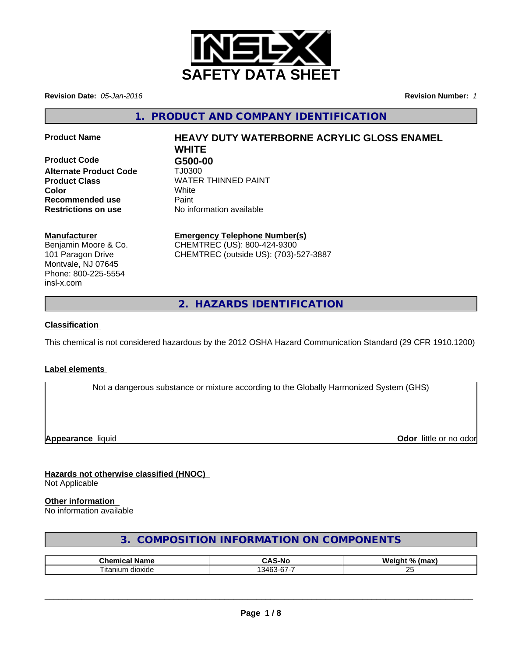

**Revision Date:** *05-Jan-2016* **Revision Number:** *1*

**1. PRODUCT AND COMPANY IDENTIFICATION**

**Product Code G500-00 Alternate Product Code** TJ0300 **Recommended use Paint Restrictions on use** No information available

# **Product Name HEAVY DUTY WATERBORNE ACRYLIC GLOSS ENAMEL WHITE**

**Product Class** WATER THINNED PAINT **Color** White White

#### **Manufacturer**

Benjamin Moore & Co. 101 Paragon Drive Montvale, NJ 07645 Phone: 800-225-5554 insl-x.com

# **Emergency Telephone Number(s)**

CHEMTREC (US): 800-424-9300 CHEMTREC (outside US): (703)-527-3887

**2. HAZARDS IDENTIFICATION**

## **Classification**

This chemical is not considered hazardous by the 2012 OSHA Hazard Communication Standard (29 CFR 1910.1200)

#### **Label elements**

Not a dangerous substance or mixture according to the Globally Harmonized System (GHS)

**Appearance** liquid **Odor in the original of the original of the original of the original of the original of the original of the original of the original of the original of the original of the original of the original of t** 

#### **Hazards not otherwise classified (HNOC)** Not Applicable

#### **Other information**

No information available

# **3. COMPOSITION INFORMATION ON COMPONENTS**

| ™hom.<br>Nam∈              | -Nc<br>                   | <b>W</b><br>$^{\circ}$<br>. .<br>----<br>ш<br>. |
|----------------------------|---------------------------|-------------------------------------------------|
| --<br>dioxide ^<br>⊣tanıun | $\sim$<br>34 <sup>F</sup> | $\mathbf{r}$<br>$\sim$                          |

 $\overline{\phantom{a}}$  ,  $\overline{\phantom{a}}$  ,  $\overline{\phantom{a}}$  ,  $\overline{\phantom{a}}$  ,  $\overline{\phantom{a}}$  ,  $\overline{\phantom{a}}$  ,  $\overline{\phantom{a}}$  ,  $\overline{\phantom{a}}$  ,  $\overline{\phantom{a}}$  ,  $\overline{\phantom{a}}$  ,  $\overline{\phantom{a}}$  ,  $\overline{\phantom{a}}$  ,  $\overline{\phantom{a}}$  ,  $\overline{\phantom{a}}$  ,  $\overline{\phantom{a}}$  ,  $\overline{\phantom{a}}$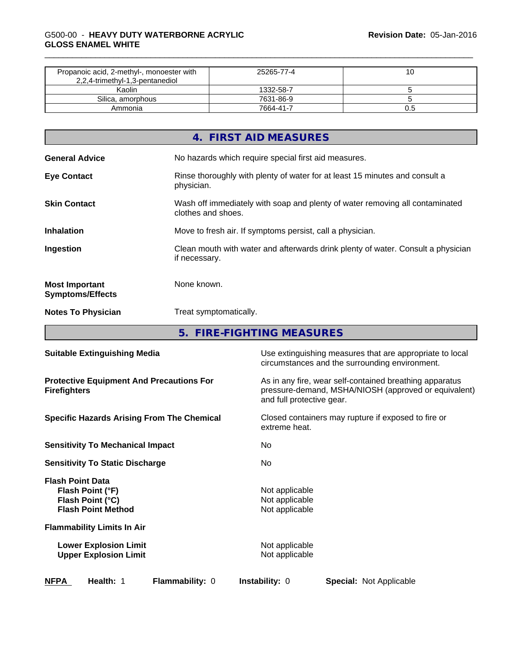#### \_\_\_\_\_\_\_\_\_\_\_\_\_\_\_\_\_\_\_\_\_\_\_\_\_\_\_\_\_\_\_\_\_\_\_\_\_\_\_\_\_\_\_\_\_\_\_\_\_\_\_\_\_\_\_\_\_\_\_\_\_\_\_\_\_\_\_\_\_\_\_\_\_\_\_\_\_\_\_\_\_\_\_\_\_\_\_\_\_\_\_\_\_ G500-00 - **HEAVY DUTY WATERBORNE ACRYLIC GLOSS ENAMEL WHITE**

| Propanoic acid, 2-methyl-, monoester with<br>2,2,4-trimethyl-1,3-pentanediol | 25265-77-4 |  |
|------------------------------------------------------------------------------|------------|--|
| Kaolin                                                                       | 1332-58-7  |  |
| Silica, amorphous                                                            | 7631-86-9  |  |
| Ammonia                                                                      | 7664-41-7  |  |

|                                                  | 4. FIRST AID MEASURES                                                                              |
|--------------------------------------------------|----------------------------------------------------------------------------------------------------|
| <b>General Advice</b>                            | No hazards which require special first aid measures.                                               |
| <b>Eye Contact</b>                               | Rinse thoroughly with plenty of water for at least 15 minutes and consult a<br>physician.          |
| <b>Skin Contact</b>                              | Wash off immediately with soap and plenty of water removing all contaminated<br>clothes and shoes. |
| <b>Inhalation</b>                                | Move to fresh air. If symptoms persist, call a physician.                                          |
| Ingestion                                        | Clean mouth with water and afterwards drink plenty of water. Consult a physician<br>if necessary.  |
| <b>Most Important</b><br><b>Symptoms/Effects</b> | None known.                                                                                        |
| <b>Notes To Physician</b>                        | Treat symptomatically.                                                                             |
|                                                  |                                                                                                    |

**5. FIRE-FIGHTING MEASURES**

| <b>Suitable Extinguishing Media</b>                                                          | Use extinguishing measures that are appropriate to local<br>circumstances and the surrounding environment.                                   |  |  |  |
|----------------------------------------------------------------------------------------------|----------------------------------------------------------------------------------------------------------------------------------------------|--|--|--|
| <b>Protective Equipment And Precautions For</b><br><b>Firefighters</b>                       | As in any fire, wear self-contained breathing apparatus<br>pressure-demand, MSHA/NIOSH (approved or equivalent)<br>and full protective gear. |  |  |  |
| <b>Specific Hazards Arising From The Chemical</b>                                            | Closed containers may rupture if exposed to fire or<br>extreme heat.                                                                         |  |  |  |
| <b>Sensitivity To Mechanical Impact</b>                                                      | No.                                                                                                                                          |  |  |  |
| <b>Sensitivity To Static Discharge</b>                                                       | No.                                                                                                                                          |  |  |  |
| <b>Flash Point Data</b><br>Flash Point (°F)<br>Flash Point (°C)<br><b>Flash Point Method</b> | Not applicable<br>Not applicable<br>Not applicable                                                                                           |  |  |  |
| <b>Flammability Limits In Air</b>                                                            |                                                                                                                                              |  |  |  |
| <b>Lower Explosion Limit</b><br><b>Upper Explosion Limit</b>                                 | Not applicable<br>Not applicable                                                                                                             |  |  |  |
| <b>NFPA</b><br><b>Flammability: 0</b><br>Health: 1                                           | <b>Instability: 0</b><br><b>Special: Not Applicable</b>                                                                                      |  |  |  |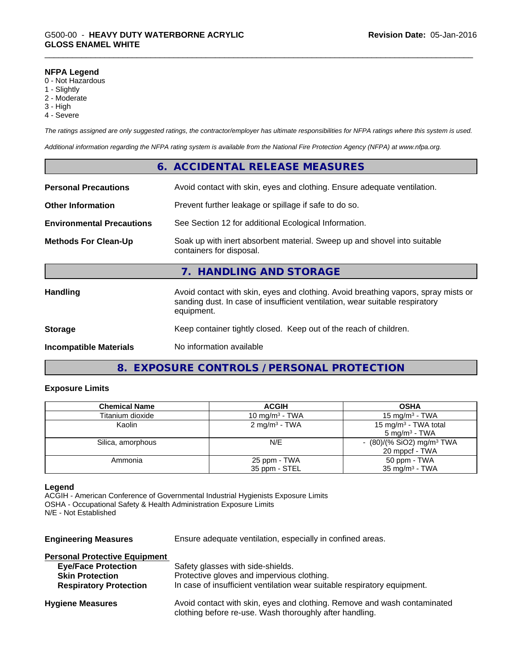#### **NFPA Legend**

- 0 Not Hazardous
- 1 Slightly
- 2 Moderate
- 3 High
- 4 Severe

*The ratings assigned are only suggested ratings, the contractor/employer has ultimate responsibilities for NFPA ratings where this system is used.*

*Additional information regarding the NFPA rating system is available from the National Fire Protection Agency (NFPA) at www.nfpa.org.*

|                                  | 6. ACCIDENTAL RELEASE MEASURES                                                                                                                                                   |
|----------------------------------|----------------------------------------------------------------------------------------------------------------------------------------------------------------------------------|
| <b>Personal Precautions</b>      | Avoid contact with skin, eyes and clothing. Ensure adequate ventilation.                                                                                                         |
| <b>Other Information</b>         | Prevent further leakage or spillage if safe to do so.                                                                                                                            |
| <b>Environmental Precautions</b> | See Section 12 for additional Ecological Information.                                                                                                                            |
| <b>Methods For Clean-Up</b>      | Soak up with inert absorbent material. Sweep up and shovel into suitable<br>containers for disposal.                                                                             |
|                                  | 7. HANDLING AND STORAGE                                                                                                                                                          |
| <b>Handling</b>                  | Avoid contact with skin, eyes and clothing. Avoid breathing vapors, spray mists or<br>sanding dust. In case of insufficient ventilation, wear suitable respiratory<br>equipment. |
| <b>Storage</b>                   | Keep container tightly closed. Keep out of the reach of children.                                                                                                                |
| <b>Incompatible Materials</b>    | No information available                                                                                                                                                         |

# **8. EXPOSURE CONTROLS / PERSONAL PROTECTION**

#### **Exposure Limits**

| <b>Chemical Name</b> | <b>ACGIH</b>             | <b>OSHA</b>                           |
|----------------------|--------------------------|---------------------------------------|
| Titanium dioxide     | 10 mg/m $3$ - TWA        | 15 mg/m $3$ - TWA                     |
| Kaolin               | $2 \text{ mg/m}^3$ - TWA | 15 mg/m <sup>3</sup> - TWA total      |
|                      |                          | $5 \text{ mg/m}^3$ - TWA              |
| Silica, amorphous    | N/E                      | $(80)/(%$ SiO2) mg/m <sup>3</sup> TWA |
|                      |                          | 20 mppcf - TWA                        |
| Ammonia              | 25 ppm - TWA             | 50 ppm - TWA                          |
|                      | 35 ppm - STEL            | $35 \text{ mg/m}^3$ - TWA             |

#### **Legend**

ACGIH - American Conference of Governmental Industrial Hygienists Exposure Limits OSHA - Occupational Safety & Health Administration Exposure Limits N/E - Not Established

| <b>Engineering Measures</b>          | Ensure adequate ventilation, especially in confined areas.                                                                          |  |  |
|--------------------------------------|-------------------------------------------------------------------------------------------------------------------------------------|--|--|
| <b>Personal Protective Equipment</b> |                                                                                                                                     |  |  |
| <b>Eye/Face Protection</b>           | Safety glasses with side-shields.                                                                                                   |  |  |
| <b>Skin Protection</b>               | Protective gloves and impervious clothing.                                                                                          |  |  |
| <b>Respiratory Protection</b>        | In case of insufficient ventilation wear suitable respiratory equipment.                                                            |  |  |
| <b>Hygiene Measures</b>              | Avoid contact with skin, eyes and clothing. Remove and wash contaminated<br>clothing before re-use. Wash thoroughly after handling. |  |  |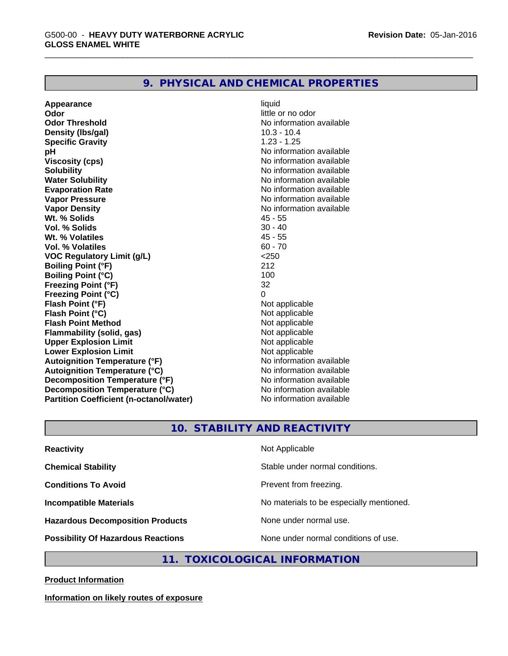#### **9. PHYSICAL AND CHEMICAL PROPERTIES**

**Appearance** liquid **Odor** little or no odor **Odor Threshold** No information available **Density (lbs/gal)** 10.3 - 10.4 **Specific Gravity** 1.23 - 1.25 **pH pH**  $\blacksquare$ **Viscosity (cps)** No information available<br> **Solubility** No information available<br>
No information available **Water Solubility Water Solubility Water Solubility No information available Evaporation Rate No information available No information available Vapor Pressure** No information available No information available **Vapor Density**<br> **We Solids** Museum Museum Museum Museum AS - 55 Wt. % Solids **Vol. % Solids** 30 - 40 **Wt. % Volatiles Vol. % Volatiles** 60 - 70 **VOC Regulatory Limit (g/L)** <250 **Boiling Point (°F)** 212 **Boiling Point (°C)** 100 **Freezing Point (°F)** 32 **Freezing Point (°C)** 0 **Flash Point (°F)** Not applicable **Flash Point (°C)** Not applicable **Flash Point Method**<br> **Flammability (solid, gas)**<br>
Not applicable<br>
Not applicable **Flammability (solid, gas)** Not applicable **Upper Explosion Limit**<br> **Lower Explosion Limit**<br> **Lower Explosion Limit**<br> **Not applicable Lower Explosion Limit Autoignition Temperature (°F)**<br> **Autoignition Temperature (°C)** No information available **Autoignition Temperature (°C) Decomposition Temperature (°F)** No information available **Decomposition Temperature (°C)** No information available **Partition Coefficient (n-octanol/water)** No information available

No information available

#### **10. STABILITY AND REACTIVITY**

| Not Applicable                           |
|------------------------------------------|
| Stable under normal conditions.          |
| Prevent from freezing.                   |
| No materials to be especially mentioned. |
| None under normal use.                   |
| None under normal conditions of use.     |
|                                          |

**11. TOXICOLOGICAL INFORMATION**

**Product Information**

**Information on likely routes of exposure**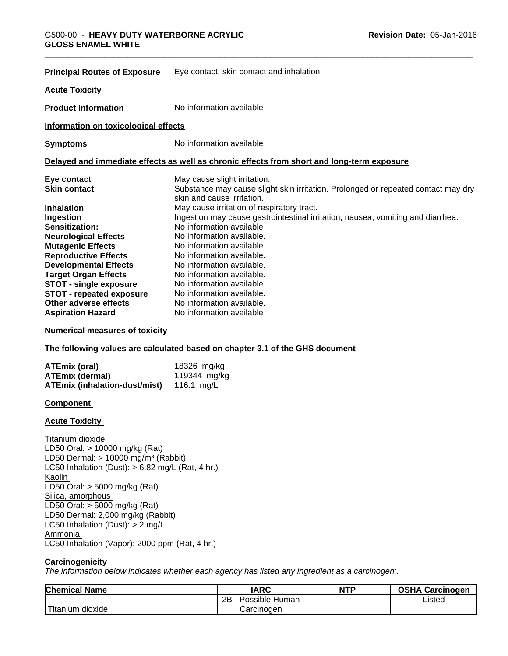| <b>Principal Routes of Exposure</b>  | Eye contact, skin contact and inhalation.                                                                       |
|--------------------------------------|-----------------------------------------------------------------------------------------------------------------|
| <b>Acute Toxicity</b>                |                                                                                                                 |
| <b>Product Information</b>           | No information available                                                                                        |
| Information on toxicological effects |                                                                                                                 |
| <b>Symptoms</b>                      | No information available                                                                                        |
|                                      | Delayed and immediate effects as well as chronic effects from short and long-term exposure                      |
| Eye contact                          | May cause slight irritation.                                                                                    |
| <b>Skin contact</b>                  | Substance may cause slight skin irritation. Prolonged or repeated contact may dry<br>skin and cause irritation. |
| <b>Inhalation</b>                    | May cause irritation of respiratory tract.                                                                      |
| Ingestion                            | Ingestion may cause gastrointestinal irritation, nausea, vomiting and diarrhea.                                 |
| Sensitization:                       | No information available                                                                                        |
| <b>Neurological Effects</b>          | No information available.                                                                                       |
| <b>Mutagenic Effects</b>             | No information available.                                                                                       |
| <b>Reproductive Effects</b>          | No information available.                                                                                       |
| <b>Developmental Effects</b>         | No information available.                                                                                       |
| <b>Target Organ Effects</b>          | No information available.                                                                                       |
| <b>STOT - single exposure</b>        | No information available.                                                                                       |
| <b>STOT - repeated exposure</b>      | No information available.                                                                                       |
| Other adverse effects                | No information available.                                                                                       |
| <b>Aspiration Hazard</b>             | No information available                                                                                        |

#### **Numerical measures of toxicity**

**The following values are calculated based on chapter 3.1 of the GHS document**

| <b>ATEmix (oral)</b>          | 18326 mg/kg  |
|-------------------------------|--------------|
| <b>ATEmix (dermal)</b>        | 119344 mg/kg |
| ATEmix (inhalation-dust/mist) | 116.1 ma/L   |

#### **Component**

#### **Acute Toxicity**

**Titanium dioxide** LD50 Oral: > 10000 mg/kg (Rat) LD50 Dermal:  $> 10000$  mg/m<sup>3</sup> (Rabbit) LC50 Inhalation (Dust):  $> 6.82$  mg/L (Rat, 4 hr.) Kaolin LD50 Oral: > 5000 mg/kg (Rat) Silica, amorphous LD50 Oral: > 5000 mg/kg (Rat) LD50 Dermal: 2,000 mg/kg (Rabbit) LC50 Inhalation (Dust): > 2 mg/L Ammonia LC50 Inhalation (Vapor): 2000 ppm (Rat, 4 hr.)

#### **Carcinogenicity**

*The information below indicateswhether each agency has listed any ingredient as a carcinogen:.*

| <b>Chemical Name</b>                                              | <b>IARC</b>          | <b>NTP</b> | <b>OSHA Carcinogen</b> |
|-------------------------------------------------------------------|----------------------|------------|------------------------|
|                                                                   | 2B<br>Possible Human |            | Listed                 |
| <b>Contract Contract Contract Contract</b><br>dioxide<br>Titanium | Carcinogen           |            |                        |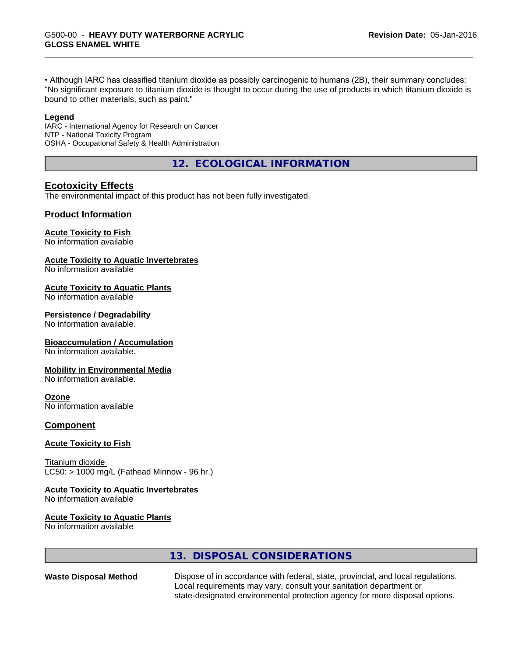• Although IARC has classified titanium dioxide as possibly carcinogenic to humans (2B), their summary concludes: "No significant exposure to titanium dioxide is thought to occur during the use of products in which titanium dioxide is bound to other materials, such as paint."

#### **Legend**

IARC - International Agency for Research on Cancer NTP - National Toxicity Program OSHA - Occupational Safety & Health Administration

**12. ECOLOGICAL INFORMATION**

### **Ecotoxicity Effects**

The environmental impact of this product has not been fully investigated.

#### **Product Information**

#### **Acute Toxicity to Fish**

No information available

#### **Acute Toxicity to Aquatic Invertebrates**

No information available

#### **Acute Toxicity to Aquatic Plants**

No information available

#### **Persistence / Degradability**

No information available.

#### **Bioaccumulation / Accumulation**

No information available.

#### **Mobility in Environmental Media**

No information available.

#### **Ozone**

No information available

#### **Component**

#### **Acute Toxicity to Fish**

Titanium dioxide  $LC50:$  > 1000 mg/L (Fathead Minnow - 96 hr.)

#### **Acute Toxicity to Aquatic Invertebrates**

No information available

#### **Acute Toxicity to Aquatic Plants**

No information available

# **13. DISPOSAL CONSIDERATIONS**

**Waste Disposal Method** Dispose of in accordance with federal, state, provincial, and local regulations. Local requirements may vary, consult your sanitation department or state-designated environmental protection agency for more disposal options.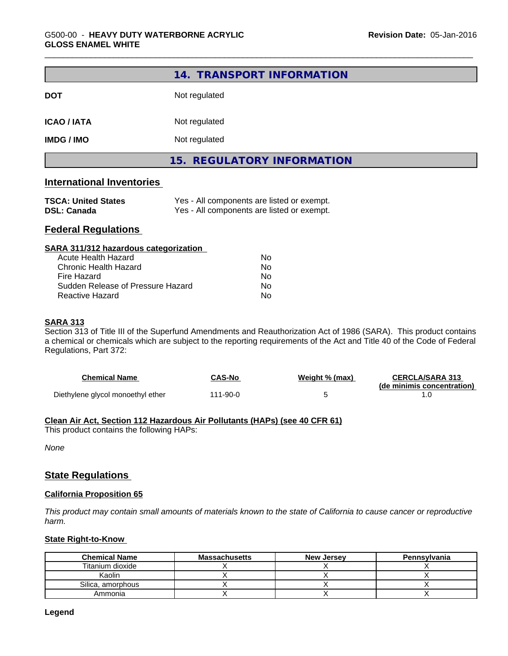|                                  | 14. TRANSPORT INFORMATION  |  |
|----------------------------------|----------------------------|--|
| <b>DOT</b>                       | Not regulated              |  |
| <b>ICAO / IATA</b>               | Not regulated              |  |
| <b>IMDG / IMO</b>                | Not regulated              |  |
|                                  | 15. REGULATORY INFORMATION |  |
| <b>International Inventories</b> |                            |  |

| <b>TSCA: United States</b> | Yes - All components are listed or exempt. |
|----------------------------|--------------------------------------------|
| <b>DSL: Canada</b>         | Yes - All components are listed or exempt. |

# **Federal Regulations**

| SARA 311/312 hazardous categorization |    |  |
|---------------------------------------|----|--|
| Acute Health Hazard                   | Nο |  |
| Chronic Health Hazard                 | No |  |
| Fire Hazard                           | No |  |
| Sudden Release of Pressure Hazard     | No |  |
| Reactive Hazard                       | Nο |  |

### **SARA 313**

Section 313 of Title III of the Superfund Amendments and Reauthorization Act of 1986 (SARA). This product contains a chemical or chemicals which are subject to the reporting requirements of the Act and Title 40 of the Code of Federal Regulations, Part 372:

| <b>Chemical Name</b>              | <b>CAS-No</b> | Weight % (max) | <b>CERCLA/SARA 313</b><br>(de minimis concentration) |
|-----------------------------------|---------------|----------------|------------------------------------------------------|
| Diethylene glycol monoethyl ether | 111-90-0      |                |                                                      |

#### **Clean Air Act,Section 112 Hazardous Air Pollutants (HAPs) (see 40 CFR 61)**

This product contains the following HAPs:

*None*

### **State Regulations**

#### **California Proposition 65**

This product may contain small amounts of materials known to the state of California to cause cancer or reproductive *harm.*

#### **State Right-to-Know**

| <b>Chemical Name</b> | <b>Massachusetts</b> | <b>New Jersey</b> | Pennsylvania |
|----------------------|----------------------|-------------------|--------------|
| Titanium dioxide     |                      |                   |              |
| Kaolin               |                      |                   |              |
| Silica, amorphous    |                      |                   |              |
| Ammonia              |                      |                   |              |